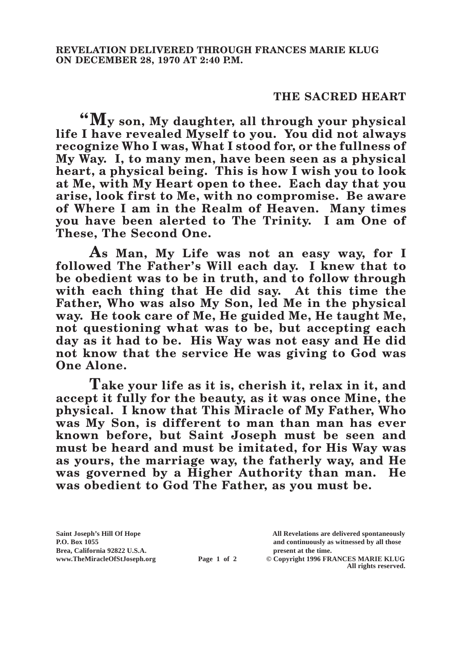## **THE SACRED HEART**

**"My son, My daughter, all through your physical life I have revealed Myself to you. You did not always recognize Who I was, What I stood for, or the fullness of My Way. I, to many men, have been seen as a physical heart, a physical being. This is how I wish you to look at Me, with My Heart open to thee. Each day that you arise, look first to Me, with no compromise. Be aware of Where I am in the Realm of Heaven. Many times you have been alerted to The Trinity. I am One of These, The Second One.**

**As Man, My Life was not an easy way, for I followed The Father's Will each day. I knew that to be obedient was to be in truth, and to follow through with each thing that He did say. At this time the Father, Who was also My Son, led Me in the physical way. He took care of Me, He guided Me, He taught Me, not questioning what was to be, but accepting each day as it had to be. His Way was not easy and He did not know that the service He was giving to God was One Alone.**

**Take your life as it is, cherish it, relax in it, and accept it fully for the beauty, as it was once Mine, the physical. I know that This Miracle of My Father, Who was My Son, is different to man than man has ever known before, but Saint Joseph must be seen and must be heard and must be imitated, for His Way was as yours, the marriage way, the fatherly way, and He was governed by a Higher Authority than man. He was obedient to God The Father, as you must be.**

**Brea, California 92822 U.S.A. present at the time.**<br> **present at the time.**<br> **present at the time.**<br> **present at the time.**<br> **present at the time.**<br> **present at the time.** 

**Saint Joseph's Hill Of Hope All Revelations are delivered spontaneously P.O. Box 1055 and continuously as witnessed by all those** 

**Page 1 of 2** © Copyright 1996 FRANCES MARIE KLUG **All rights reserved.**